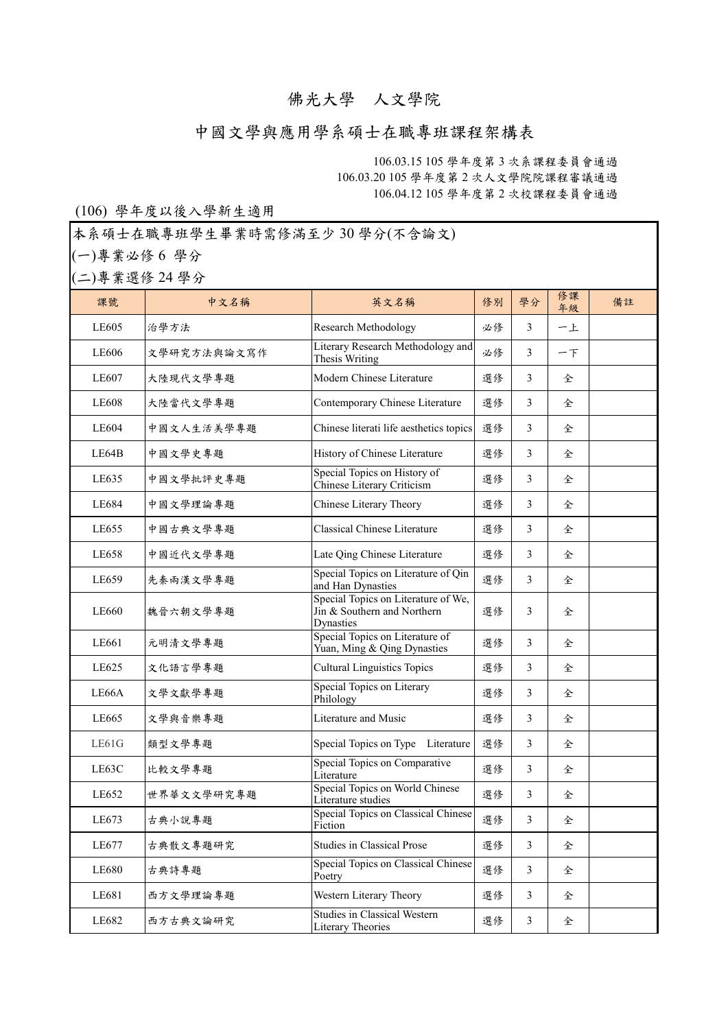## 佛光大學 人文學院

## 中國文學與應用學系碩士在職專班課程架構表

106.03.15 105 學年度第 3 次系課程委員會通過 106.03.20 105 學年度第 2 次人文學院院課程審議通過 106.04.12 105 學年度第 2 次校課程委員會通過

## (106) 學年度以後入學新生適用

本系碩士在職專班學生畢業時需修滿至少 30 學分(不含論文)

(一)專業必修 6 學分

(二)專業選修 24 學分

| 課號           | 中文名稱        | 英文名稱                                                                            | 修別 | 學分             | 修課<br>年級 | 備註 |
|--------------|-------------|---------------------------------------------------------------------------------|----|----------------|----------|----|
| LE605        | 治學方法        | Research Methodology                                                            | 必修 | 3              | 一上       |    |
| LE606        | 文學研究方法與論文寫作 | Literary Research Methodology and<br>Thesis Writing                             | 必修 | 3              | $ T$     |    |
| LE607        | 大陸現代文學專題    | Modern Chinese Literature                                                       | 選修 | 3              | 全        |    |
| <b>LE608</b> | 大陸當代文學專題    | Contemporary Chinese Literature                                                 | 選修 | 3              | 全        |    |
| LE604        | 中國文人生活美學專題  | Chinese literati life aesthetics topics                                         | 選修 | 3              | 全        |    |
| LE64B        | 中國文學史專題     | History of Chinese Literature                                                   | 選修 | 3              | 全        |    |
| LE635        | 中國文學批評史專題   | Special Topics on History of<br>Chinese Literary Criticism                      | 選修 | 3              | 全        |    |
| LE684        | 中國文學理論專題    | Chinese Literary Theory                                                         | 選修 | 3              | 全        |    |
| LE655        | 中國古典文學專題    | <b>Classical Chinese Literature</b>                                             | 選修 | 3              | 全        |    |
| LE658        | 中國近代文學專題    | Late Qing Chinese Literature                                                    | 選修 | 3              | 全        |    |
| LE659        | 先秦兩漢文學專題    | Special Topics on Literature of Qin<br>and Han Dynasties                        | 選修 | 3              | 全        |    |
| LE660        | 魏晉六朝文學專題    | Special Topics on Literature of We,<br>Jin & Southern and Northern<br>Dynasties | 選修 | 3              | 全        |    |
| LE661        | 元明清文學專題     | Special Topics on Literature of<br>Yuan, Ming & Qing Dynasties                  | 選修 | 3              | 全        |    |
| LE625        | 文化語言學專題     | <b>Cultural Linguistics Topics</b>                                              | 選修 | 3              | 全        |    |
| LE66A        | 文學文獻學專題     | Special Topics on Literary<br>Philology                                         | 選修 | 3              | 全        |    |
| LE665        | 文學與音樂專題     | Literature and Music                                                            | 選修 | 3              | 全        |    |
| LE61G        | 類型文學專題      | Special Topics on Type Literature                                               | 選修 | 3              | 全        |    |
| LE63C        | 比較文學專題      | Special Topics on Comparative<br>Literature                                     | 選修 | 3              | 全        |    |
| LE652        | 世界華文文學研究專題  | Special Topics on World Chinese<br>Literature studies                           | 選修 | 3              | 全        |    |
| LE673        | 古典小說專題      | Special Topics on Classical Chinese<br>Fiction                                  | 選修 | 3              | 全        |    |
| LE677        | 古典散文專題研究    | Studies in Classical Prose                                                      | 選修 | 3              | 全        |    |
| LE680        | 古典詩專題       | Special Topics on Classical Chinese<br>Poetry                                   | 選修 | 3              | 全        |    |
| LE681        | 西方文學理論專題    | Western Literary Theory                                                         | 選修 | 3              | 全        |    |
| LE682        | 西方古典文論研究    | <b>Studies in Classical Western</b><br>Literary Theories                        | 選修 | $\mathfrak{Z}$ | 全        |    |